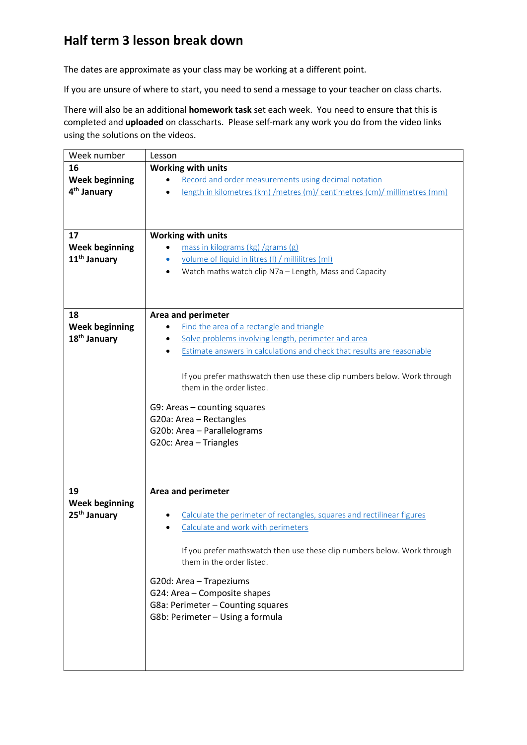## **Half term 3 lesson break down**

The dates are approximate as your class may be working at a different point.

If you are unsure of where to start, you need to send a message to your teacher on class charts.

There will also be an additional **homework task** set each week. You need to ensure that this is completed and **uploaded** on classcharts. Please self-mark any work you do from the video links using the solutions on the videos.

| Week number              | Lesson                                                                                                |
|--------------------------|-------------------------------------------------------------------------------------------------------|
| 16                       | Working with units                                                                                    |
| <b>Week beginning</b>    | Record and order measurements using decimal notation                                                  |
| 4 <sup>th</sup> January  | length in kilometres (km) /metres (m)/ centimetres (cm)/ millimetres (mm)                             |
|                          |                                                                                                       |
|                          |                                                                                                       |
| 17                       | <b>Working with units</b>                                                                             |
| <b>Week beginning</b>    | mass in kilograms (kg) /grams (g)                                                                     |
| 11 <sup>th</sup> January | volume of liquid in litres (I) / millilitres (ml)                                                     |
|                          | Watch maths watch clip N7a - Length, Mass and Capacity                                                |
|                          |                                                                                                       |
|                          |                                                                                                       |
|                          |                                                                                                       |
| 18                       | Area and perimeter                                                                                    |
| <b>Week beginning</b>    | Find the area of a rectangle and triangle                                                             |
| 18 <sup>th</sup> January | Solve problems involving length, perimeter and area                                                   |
|                          | Estimate answers in calculations and check that results are reasonable                                |
|                          |                                                                                                       |
|                          | If you prefer mathswatch then use these clip numbers below. Work through                              |
|                          | them in the order listed.                                                                             |
|                          | G9: Areas - counting squares                                                                          |
|                          | G20a: Area - Rectangles                                                                               |
|                          | G20b: Area - Parallelograms                                                                           |
|                          | G20c: Area - Triangles                                                                                |
|                          |                                                                                                       |
|                          |                                                                                                       |
|                          |                                                                                                       |
| 19                       | Area and perimeter                                                                                    |
| <b>Week beginning</b>    |                                                                                                       |
| 25 <sup>th</sup> January | Calculate the perimeter of rectangles, squares and rectilinear figures                                |
|                          | Calculate and work with perimeters                                                                    |
|                          |                                                                                                       |
|                          | If you prefer mathswatch then use these clip numbers below. Work through<br>them in the order listed. |
|                          |                                                                                                       |
|                          | G20d: Area - Trapeziums                                                                               |
|                          | G24: Area - Composite shapes                                                                          |
|                          | G8a: Perimeter - Counting squares                                                                     |
|                          | G8b: Perimeter - Using a formula                                                                      |
|                          |                                                                                                       |
|                          |                                                                                                       |
|                          |                                                                                                       |
|                          |                                                                                                       |